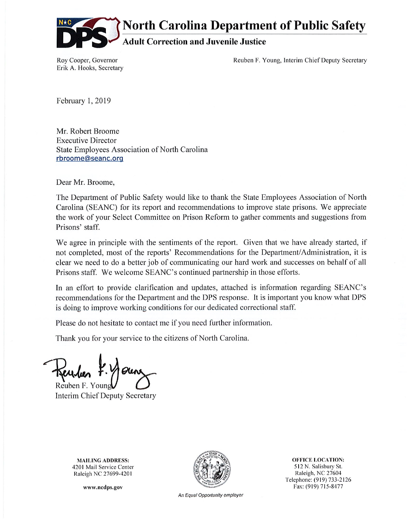

**North Carolina Department of Public Safety** 

# **Adult Correction and Juvenile Justice**

Roy Cooper, Governor Erik A. Hooks, Secretary Reuben F. Young, Interim Chief Deputy Secretary

February 1, 2019

Mr. Robert Broome **Executive Director** State Employees Association of North Carolina rbroome@seanc.org

Dear Mr. Broome,

The Department of Public Safety would like to thank the State Employees Association of North Carolina (SEANC) for its report and recommendations to improve state prisons. We appreciate the work of your Select Committee on Prison Reform to gather comments and suggestions from Prisons' staff.

We agree in principle with the sentiments of the report. Given that we have already started, if not completed, most of the reports' Recommendations for the Department/Administration, it is clear we need to do a better job of communicating our hard work and successes on behalf of all Prisons staff. We welcome SEANC's continued partnership in those efforts.

In an effort to provide clarification and updates, attached is information regarding SEANC's recommendations for the Department and the DPS response. It is important you know what DPS is doing to improve working conditions for our dedicated correctional staff.

Please do not hesitate to contact me if you need further information.

Thank you for your service to the citizens of North Carolina.

Reuben F. Youn

Interim Chief Deputy Secretary

**MAILING ADDRESS:** 4201 Mail Service Center Raleigh NC 27699-4201

www.ncdps.gov



**OFFICE LOCATION:** 512 N. Salisbury St. Raleigh, NC 27604 Telephone: (919) 733-2126 Fax: (919) 715-8477

An Equal Opportunity employer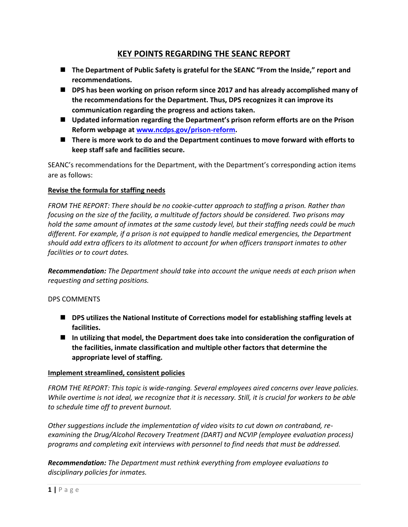## **KEY POINTS REGARDING THE SEANC REPORT**

- **The Department of Public Safety is grateful for the SEANC "From the Inside," report and recommendations.**
- **DPS** has been working on prison reform since 2017 and has already accomplished many of **the recommendations for the Department. Thus, DPS recognizes it can improve its communication regarding the progress and actions taken.**
- Updated information regarding the Department's prison reform efforts are on the Prison **Reform webpage a[t www.ncdps.gov/prison-reform.](http://www.ncdps.gov/prison-reform)**
- There is more work to do and the Department continues to move forward with efforts to **keep staff safe and facilities secure.**

SEANC's recommendations for the Department, with the Department's corresponding action items are as follows:

## **Revise the formula for staffing needs**

*FROM THE REPORT: There should be no cookie-cutter approach to staffing a prison. Rather than focusing on the size of the facility, a multitude of factors should be considered. Two prisons may hold the same amount of inmates at the same custody level, but their staffing needs could be much different. For example, if a prison is not equipped to handle medical emergencies, the Department should add extra officers to its allotment to account for when officers transport inmates to other facilities or to court dates.*

*Recommendation: The Department should take into account the unique needs at each prison when requesting and setting positions.*

## DPS COMMENTS

- DPS utilizes the National Institute of Corrections model for establishing staffing levels at **facilities.**
- **In utilizing that model, the Department does take into consideration the configuration of the facilities, inmate classification and multiple other factors that determine the appropriate level of staffing.**

## **Implement streamlined, consistent policies**

*FROM THE REPORT: This topic is wide-ranging. Several employees aired concerns over leave policies. While overtime is not ideal, we recognize that it is necessary. Still, it is crucial for workers to be able to schedule time off to prevent burnout.*

*Other suggestions include the implementation of video visits to cut down on contraband, reexamining the Drug/Alcohol Recovery Treatment (DART) and NCVIP (employee evaluation process) programs and completing exit interviews with personnel to find needs that must be addressed.*

*Recommendation: The Department must rethink everything from employee evaluations to disciplinary policies for inmates.*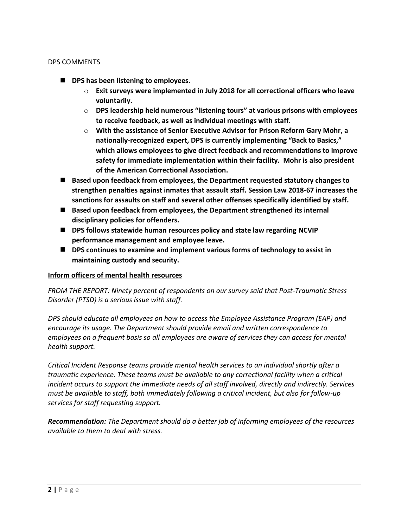### DPS COMMENTS

- DPS has been listening to employees.
	- o **Exit surveys were implemented in July 2018 for all correctional officers who leave voluntarily.**
	- o **DPS leadership held numerous "listening tours" at various prisons with employees to receive feedback, as well as individual meetings with staff.**
	- o **With the assistance of Senior Executive Advisor for Prison Reform Gary Mohr, a nationally-recognized expert, DPS is currently implementing "Back to Basics," which allows employees to give direct feedback and recommendations to improve safety for immediate implementation within their facility. Mohr is also president of the American Correctional Association.**
- **Based upon feedback from employees, the Department requested statutory changes to strengthen penalties against inmates that assault staff. Session Law 2018-67 increases the sanctions for assaults on staff and several other offenses specifically identified by staff.**
- **Based upon feedback from employees, the Department strengthened its internal disciplinary policies for offenders.**
- **DPS follows statewide human resources policy and state law regarding NCVIP performance management and employee leave.**
- DPS continues to examine and implement various forms of technology to assist in **maintaining custody and security.**

#### **Inform officers of mental health resources**

*FROM THE REPORT: Ninety percent of respondents on our survey said that Post-Traumatic Stress Disorder (PTSD) is a serious issue with staff.*

*DPS should educate all employees on how to access the Employee Assistance Program (EAP) and encourage its usage. The Department should provide email and written correspondence to employees on a frequent basis so all employees are aware of services they can access for mental health support.*

*Critical Incident Response teams provide mental health services to an individual shortly after a traumatic experience. These teams must be available to any correctional facility when a critical incident occurs to support the immediate needs of all staff involved, directly and indirectly. Services must be available to staff, both immediately following a critical incident, but also for follow-up services for staff requesting support.*

*Recommendation: The Department should do a better job of informing employees of the resources available to them to deal with stress.*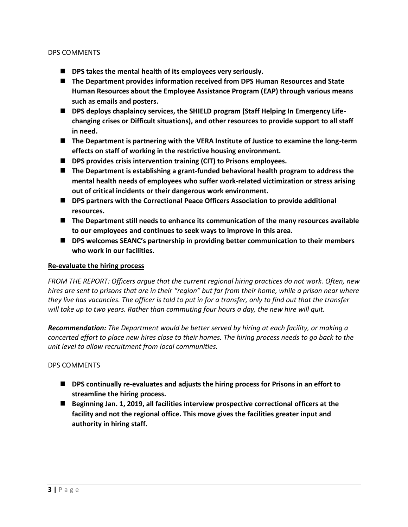#### DPS COMMENTS

- DPS takes the mental health of its employees very seriously.
- **The Department provides information received from DPS Human Resources and State Human Resources about the Employee Assistance Program (EAP) through various means such as emails and posters.**
- DPS deploys chaplaincy services, the SHIELD program (Staff Helping In Emergency Life**changing crises or Difficult situations), and other resources to provide support to all staff in need.**
- The Department is partnering with the VERA Institute of Justice to examine the long-term **effects on staff of working in the restrictive housing environment.**
- DPS provides crisis intervention training (CIT) to Prisons employees.
- The Department is establishing a grant-funded behavioral health program to address the **mental health needs of employees who suffer work-related victimization or stress arising out of critical incidents or their dangerous work environment.**
- DPS partners with the Correctional Peace Officers Association to provide additional **resources.**
- **The Department still needs to enhance its communication of the many resources available to our employees and continues to seek ways to improve in this area.**
- DPS welcomes SEANC's partnership in providing better communication to their members **who work in our facilities.**

#### **Re-evaluate the hiring process**

*FROM THE REPORT: Officers argue that the current regional hiring practices do not work. Often, new hires are sent to prisons that are in their "region" but far from their home, while a prison near where they live has vacancies. The officer is told to put in for a transfer, only to find out that the transfer will take up to two years. Rather than commuting four hours a day, the new hire will quit.*

*Recommendation: The Department would be better served by hiring at each facility, or making a concerted effort to place new hires close to their homes. The hiring process needs to go back to the unit level to allow recruitment from local communities.*

#### DPS COMMENTS

- DPS continually re-evaluates and adjusts the hiring process for Prisons in an effort to **streamline the hiring process.**
- **Beginning Jan. 1, 2019, all facilities interview prospective correctional officers at the facility and not the regional office. This move gives the facilities greater input and authority in hiring staff.**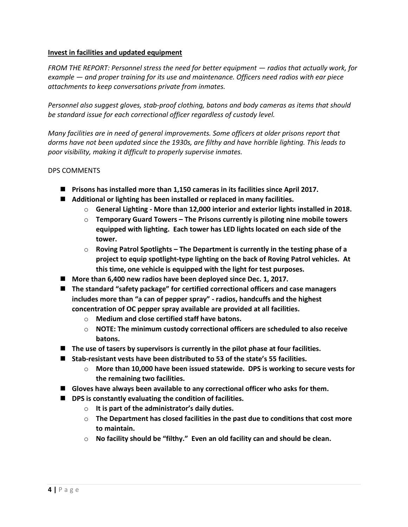### **Invest in facilities and updated equipment**

*FROM THE REPORT: Personnel stress the need for better equipment — radios that actually work, for example — and proper training for its use and maintenance. Officers need radios with ear piece attachments to keep conversations private from inmates.*

*Personnel also suggest gloves, stab-proof clothing, batons and body cameras as items that should be standard issue for each correctional officer regardless of custody level.*

*Many facilities are in need of general improvements. Some officers at older prisons report that dorms have not been updated since the 1930s, are filthy and have horrible lighting. This leads to poor visibility, making it difficult to properly supervise inmates.*

## DPS COMMENTS

- **Prisons has installed more than 1,150 cameras in its facilities since April 2017.**
- Additional or lighting has been installed or replaced in many facilities.
	- o **General Lighting - More than 12,000 interior and exterior lights installed in 2018.**
	- o **Temporary Guard Towers – The Prisons currently is piloting nine mobile towers equipped with lighting. Each tower has LED lights located on each side of the tower.**
	- o **Roving Patrol Spotlights – The Department is currently in the testing phase of a project to equip spotlight-type lighting on the back of Roving Patrol vehicles. At this time, one vehicle is equipped with the light for test purposes.**
- More than 6,400 new radios have been deployed since Dec. 1, 2017.
- The standard "safety package" for certified correctional officers and case managers **includes more than "a can of pepper spray" - radios, handcuffs and the highest concentration of OC pepper spray available are provided at all facilities.**
	- o **Medium and close certified staff have batons.**
	- o **NOTE: The minimum custody correctional officers are scheduled to also receive batons.**
- **The use of tasers by supervisors is currently in the pilot phase at four facilities.**
- **Stab-resistant vests have been distributed to 53 of the state's 55 facilities.** 
	- o **More than 10,000 have been issued statewide. DPS is working to secure vests for the remaining two facilities.**
- **Gloves have always been available to any correctional officer who asks for them.**
- DPS is constantly evaluating the condition of facilities.
	- o **It is part of the administrator's daily duties.**
	- o **The Department has closed facilities in the past due to conditions that cost more to maintain.**
	- o **No facility should be "filthy." Even an old facility can and should be clean.**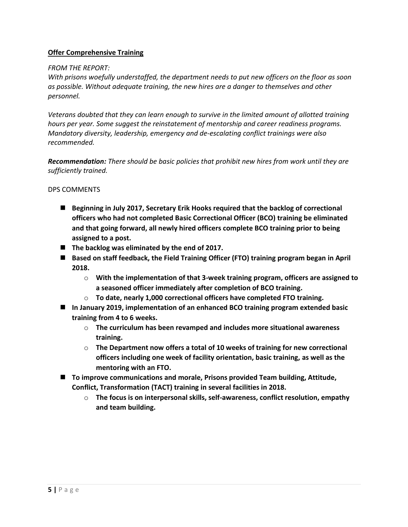## **Offer Comprehensive Training**

## *FROM THE REPORT:*

*With prisons woefully understaffed, the department needs to put new officers on the floor as soon as possible. Without adequate training, the new hires are a danger to themselves and other personnel.*

*Veterans doubted that they can learn enough to survive in the limited amount of allotted training hours per year. Some suggest the reinstatement of mentorship and career readiness programs. Mandatory diversity, leadership, emergency and de-escalating conflict trainings were also recommended.*

*Recommendation: There should be basic policies that prohibit new hires from work until they are sufficiently trained.*

### DPS COMMENTS

- **Beginning in July 2017, Secretary Erik Hooks required that the backlog of correctional officers who had not completed Basic Correctional Officer (BCO) training be eliminated and that going forward, all newly hired officers complete BCO training prior to being assigned to a post.**
- The backlog was eliminated by the end of 2017.
- Based on staff feedback, the Field Training Officer (FTO) training program began in April **2018.** 
	- o **With the implementation of that 3-week training program, officers are assigned to a seasoned officer immediately after completion of BCO training.**
	- o **To date, nearly 1,000 correctional officers have completed FTO training.**
- **In January 2019, implementation of an enhanced BCO training program extended basic training from 4 to 6 weeks.**
	- o **The curriculum has been revamped and includes more situational awareness training.**
	- o **The Department now offers a total of 10 weeks of training for new correctional officers including one week of facility orientation, basic training, as well as the mentoring with an FTO.**
- **To improve communications and morale, Prisons provided Team building, Attitude, Conflict, Transformation (TACT) training in several facilities in 2018.**
	- o **The focus is on interpersonal skills, self-awareness, conflict resolution, empathy and team building.**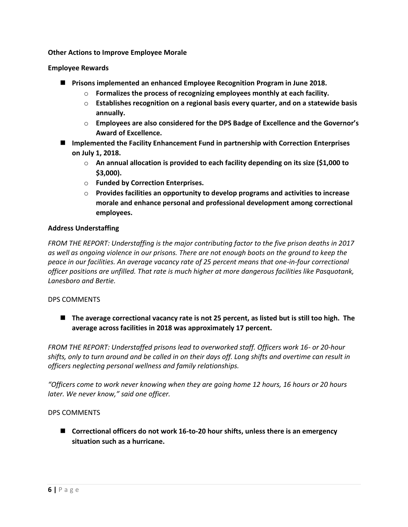### **Other Actions to Improve Employee Morale**

## **Employee Rewards**

- **Prisons implemented an enhanced Employee Recognition Program in June 2018.**
	- o **Formalizes the process of recognizing employees monthly at each facility.**
	- o **Establishes recognition on a regional basis every quarter, and on a statewide basis annually.**
	- o **Employees are also considered for the DPS Badge of Excellence and the Governor's Award of Excellence.**
- Implemented the Facility Enhancement Fund in partnership with Correction Enterprises **on July 1, 2018.**
	- o **An annual allocation is provided to each facility depending on its size (\$1,000 to \$3,000).**
	- o **Funded by Correction Enterprises.**
	- o **Provides facilities an opportunity to develop programs and activities to increase morale and enhance personal and professional development among correctional employees.**

## **Address Understaffing**

*FROM THE REPORT: Understaffing is the major contributing factor to the five prison deaths in 2017 as well as ongoing violence in our prisons. There are not enough boots on the ground to keep the peace in our facilities. An average vacancy rate of 25 percent means that one-in-four correctional officer positions are unfilled. That rate is much higher at more dangerous facilities like Pasquotank, Lanesboro and Bertie.*

#### DPS COMMENTS

■ The average correctional vacancy rate is not 25 percent, as listed but is still too high. The **average across facilities in 2018 was approximately 17 percent.**

*FROM THE REPORT: Understaffed prisons lead to overworked staff. Officers work 16- or 20-hour shifts, only to turn around and be called in on their days off. Long shifts and overtime can result in officers neglecting personal wellness and family relationships.*

*"Officers come to work never knowing when they are going home 12 hours, 16 hours or 20 hours later. We never know," said one officer.*

#### DPS COMMENTS

■ Correctional officers do not work 16-to-20 hour shifts, unless there is an emergency **situation such as a hurricane.**